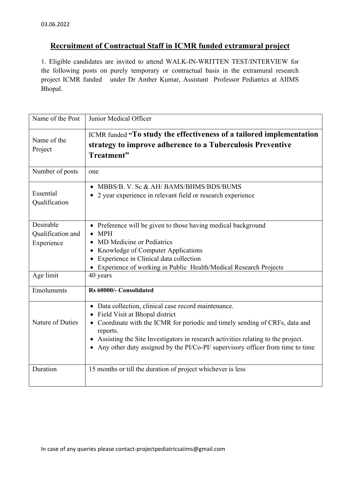## **Recruitment of Contractual Staff in ICMR funded extramural project**

1. Eligible candidates are invited to attend WALK-IN-WRITTEN TEST/INTERVIEW for the following posts on purely temporary or contractual basis in the extramural research project ICMR funded under Dr Amber Kumar, Assistant Professor Pediatrics at AIIMS Bhopal.

| Name of the Post                             | Junior Medical Officer                                                                                                                                                                                                                                                                                                                                            |
|----------------------------------------------|-------------------------------------------------------------------------------------------------------------------------------------------------------------------------------------------------------------------------------------------------------------------------------------------------------------------------------------------------------------------|
| Name of the<br>Project                       | ICMR funded "To study the effectiveness of a tailored implementation<br>strategy to improve adherence to a Tuberculosis Preventive<br>Treatment"                                                                                                                                                                                                                  |
| Number of posts                              | one                                                                                                                                                                                                                                                                                                                                                               |
| Essential<br>Qualification                   | MBBS/B. V. Sc & AH/BAMS/BHMS/BDS/BUMS<br>2 year experience in relevant field or research experience                                                                                                                                                                                                                                                               |
| Desirable<br>Qualification and<br>Experience | Preference will be given to those having medical background<br><b>MPH</b><br>MD Medicine or Pediatrics<br>Knowledge of Computer Applications<br>Experience in Clinical data collection<br>Experience of working in Public Health/Medical Research Projects                                                                                                        |
| Age limit                                    | 40 years                                                                                                                                                                                                                                                                                                                                                          |
| Emoluments                                   | Rs 60000/- Consolidated                                                                                                                                                                                                                                                                                                                                           |
| Nature of Duties                             | Data collection, clinical case record maintenance.<br>$\bullet$<br>Field Visit at Bhopal district<br>Coordinate with the ICMR for periodic and timely sending of CRFs, data and<br>reports.<br>Assisting the Site Investigators in research activities relating to the project.<br>Any other duty assigned by the PI/Co-PI/ supervisory officer from time to time |
| Duration                                     | 15 months or till the duration of project whichever is less                                                                                                                                                                                                                                                                                                       |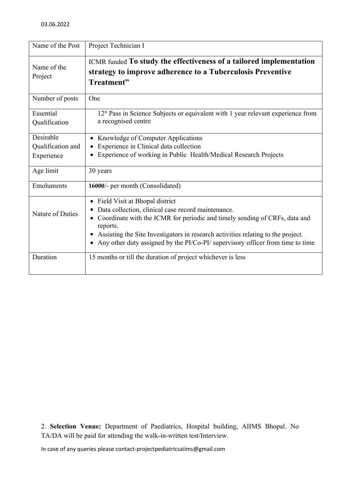| Name of the Post           | Project Technician I                                                                                                                                                                                                                                                                                                                                              |
|----------------------------|-------------------------------------------------------------------------------------------------------------------------------------------------------------------------------------------------------------------------------------------------------------------------------------------------------------------------------------------------------------------|
| Name of the<br>Project     | ICMR funded To study the effectiveness of a tailored implementation<br>strategy to improve adherence to a Tuberculosis Preventive<br>Treatment"                                                                                                                                                                                                                   |
| Number of posts            | One                                                                                                                                                                                                                                                                                                                                                               |
| Essential<br>Qualification | 12 <sup>th</sup> Pass in Science Subjects or equivalent with 1 year relevant experience from<br>a recognised centre                                                                                                                                                                                                                                               |
| Desirable                  | Knowledge of Computer Applications                                                                                                                                                                                                                                                                                                                                |
| Qualification and          | Experience in Clinical data collection                                                                                                                                                                                                                                                                                                                            |
| Experience                 | Experience of working in Public Health/Medical Research Projects                                                                                                                                                                                                                                                                                                  |
| Age limit                  | 30 years                                                                                                                                                                                                                                                                                                                                                          |
| Emoluments                 | 16000/- per month (Consolidated)                                                                                                                                                                                                                                                                                                                                  |
| Nature of Duties           | Field Visit at Bhopal district<br>$\bullet$<br>Data collection, clinical case record maintenance.<br>Coordinate with the ICMR for periodic and timely sending of CRFs, data and<br>reports.<br>Assisting the Site Investigators in research activities relating to the project.<br>Any other duty assigned by the PI/Co-PI/ supervisory officer from time to time |
| Duration                   | 15 months or till the duration of project whichever is less                                                                                                                                                                                                                                                                                                       |

2. **Selection Venue:** Department of Paediatrics, Hospital building, AIIMS Bhopal. No TA/DA will be paid for attending the walk-in-written test/Interview.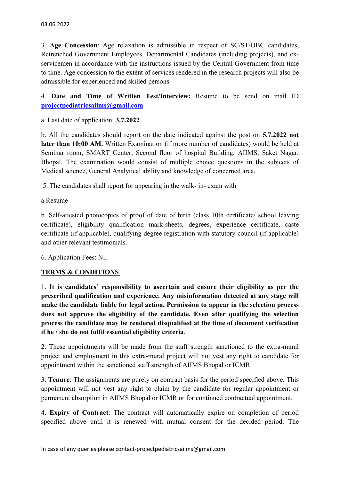3. **Age Concession**: Age relaxation is admissible in respect of SC/ST/OBC candidates, Retrenched Government Employees, Departmental Candidates (including projects), and exservicemen in accordance with the instructions issued by the Central Government from time to time. Age concession to the extent of services rendered in the research projects will also be admissible for experienced and skilled persons.

4. **Date and Time of Written Test/Interview:** Resume to be send on mail ID **projectpediatricsaiims@gmail.com**a. Last date of application: **3.7.2022** 

b. All the candidates should report on the date indicated against the post on **5.7.2022 not later than 10:00 AM.** Written Examination (if more number of candidates) would be held at Seminar room, SMART Center, Second floor of hospital Building, AIIMS, Saket Nagar, Bhopal. The examination would consist of multiple choice questions in the subjects of Medical science, General Analytical ability and knowledge of concerned area.

5. The candidates shall report for appearing in the walk- in- exam with

a Resume

b. Self-attested photocopies of proof of date of birth (class 10th certificate/ school leaving certificate), eligibility qualification mark-sheets, degrees, experience certificate, caste certificate (if applicable), qualifying degree registration with statutory council (if applicable) and other relevant testimonials.

6. Application Fees: Nil

## **TERMS & CONDITIONS**

1. **It is candidates' responsibility to ascertain and ensure their eligibility as per the prescribed qualification and experience. Any misinformation detected at any stage will make the candidate liable for legal action. Permission to appear in the selection process does not approve the eligibility of the candidate. Even after qualifying the selection process the candidate may be rendered disqualified at the time of document verification** 

**if he / she do not fulfil essential eligibility criteria**. 2. These appointments will be made from the staff strength sanctioned to the extra-mural project and employment in this extra-mural project will not vest any right to candidate for appointment within the sanctioned staff strength of AIIMS Bhopal or ICMR.

3. **Tenure**: The assignments are purely on contract basis for the period specified above. This appointment will not vest any right to claim by the candidate for regular appointment or permanent absorption in AIIMS Bhopal or ICMR or for continued contractual appointment.

4**. Expiry of Contract**: The contract will automatically expire on completion of period specified above until it is renewed with mutual consent for the decided period. The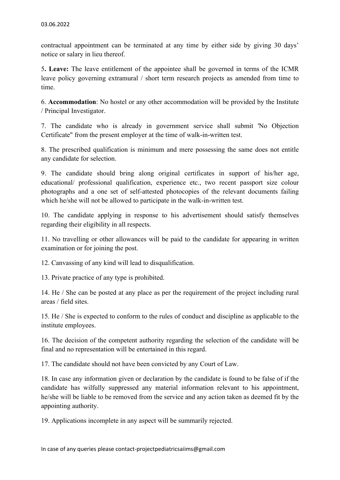contractual appointment can be terminated at any time by either side by giving 30 days' notice or salary in lieu thereof.

5**. Leave:** The leave entitlement of the appointee shall be governed in terms of the ICMR leave policy governing extramural / short term research projects as amended from time to time.

6. **Accommodation**: No hostel or any other accommodation will be provided by the Institute / Principal Investigator.

7. The candidate who is already in government service shall submit 'No Objection Certificate" from the present employer at the time of walk-in-written test.

8. The prescribed qualification is minimum and mere possessing the same does not entitle any candidate for selection.

9. The candidate should bring along original certificates in support of his/her age, educational/ professional qualification, experience etc., two recent passport size colour photographs and a one set of self-attested photocopies of the relevant documents failing which he/she will not be allowed to participate in the walk-in-written test.

10. The candidate applying in response to his advertisement should satisfy themselves regarding their eligibility in all respects.

11. No travelling or other allowances will be paid to the candidate for appearing in written examination or for joining the post.

12. Canvassing of any kind will lead to disqualification.

13. Private practice of any type is prohibited.

14. He / She can be posted at any place as per the requirement of the project including rural areas / field sites.

15. He / She is expected to conform to the rules of conduct and discipline as applicable to the institute employees.

16. The decision of the competent authority regarding the selection of the candidate will be final and no representation will be entertained in this regard.

17. The candidate should not have been convicted by any Court of Law.

18. In case any information given or declaration by the candidate is found to be false of if the candidate has wilfully suppressed any material information relevant to his appointment, he/she will be liable to be removed from the service and any action taken as deemed fit by the appointing authority.

19. Applications incomplete in any aspect will be summarily rejected.